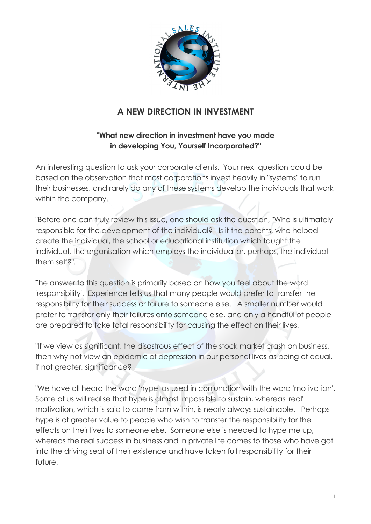

## **A NEW DIRECTION IN INVESTMENT**

## **"What new direction in investment have you made in developing You, Yourself Incorporated?"**

An interesting question to ask your corporate clients. Your next question could be based on the observation that most corporations invest heavily in "systems" to run their businesses, and rarely do any of these systems develop the individuals that work within the company.

"Before one can truly review this issue, one should ask the question, "Who is ultimately responsible for the development of the individual? Is it the parents, who helped create the individual, the school or educational institution which taught the individual, the organisation which employs the individual or, perhaps, the individual them self?".

The answer to this question is primarily based on how you feel about the word 'responsibility'. Experience tells us that many people would prefer to transfer the responsibility for their success or failure to someone else. A smaller number would prefer to transfer only their failures onto someone else, and only a handful of people are prepared to take total responsibility for causing the effect on their lives.

"If we view as significant, the disastrous effect of the stock market crash on business, then why not view an epidemic of depression in our personal lives as being of equal, if not greater, significance?

"We have all heard the word 'hype' as used in conjunction with the word 'motivation'. Some of us will realise that hype is almost impossible to sustain, whereas 'real' motivation, which is said to come from within, is nearly always sustainable. Perhaps hype is of greater value to people who wish to transfer the responsibility for the effects on their lives to someone else. Someone else is needed to hype me up, whereas the real success in business and in private life comes to those who have got into the driving seat of their existence and have taken full responsibility for their future.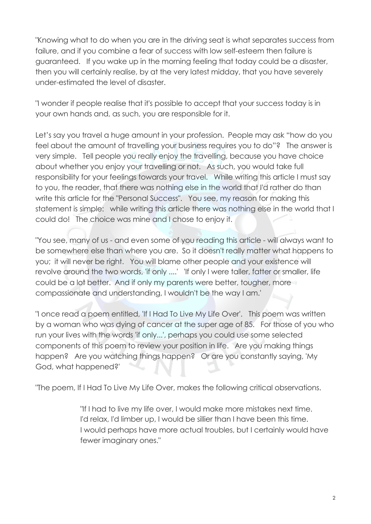"Knowing what to do when you are in the driving seat is what separates success from failure, and if you combine a fear of success with low self-esteem then failure is guaranteed. If you wake up in the morning feeling that today could be a disaster, then you will certainly realise, by at the very latest midday, that you have severely under-estimated the level of disaster.

"I wonder if people realise that it's possible to accept that your success today is in your own hands and, as such, you are responsible for it.

Let's say you travel a huge amount in your profession. People may ask "how do you feel about the amount of travelling your business requires you to do"? The answer is very simple. Tell people you really enjoy the travelling, because you have choice about whether you enjoy your travelling or not. As such, you would take full responsibility for your feelings towards your travel. While writing this article I must say to you, the reader, that there was nothing else in the world that I'd rather do than write this article for the "Personal Success". You see, my reason for making this statement is simple: while writing this article there was nothing else in the world that I could do! The choice was mine and I chose to enjoy it.

"You see, many of us - and even some of you reading this article - will always want to be somewhere else than where you are. So it doesn't really matter what happens to you; it will never be right. You will blame other people and your existence will revolve around the two words, 'if only ....' 'If only I were taller, fatter or smaller, life could be a lot better. And if only my parents were better, tougher, more compassionate and understanding, I wouldn't be the way I am.'

"I once read a poem entitled, 'If I Had To Live My Life Over'. This poem was written by a woman who was dying of cancer at the super age of 85. For those of you who run your lives with the words 'if only...', perhaps you could use some selected components of this poem to review your position in life. Are you making things happen? Are you watching things happen? Or are you constantly saying, 'My God, what happened?'

"The poem, If I Had To Live My Life Over, makes the following critical observations.

"If I had to live my life over, I would make more mistakes next time. I'd relax, I'd limber up, I would be sillier than I have been this time. I would perhaps have more actual troubles, but I certainly would have fewer imaginary ones."